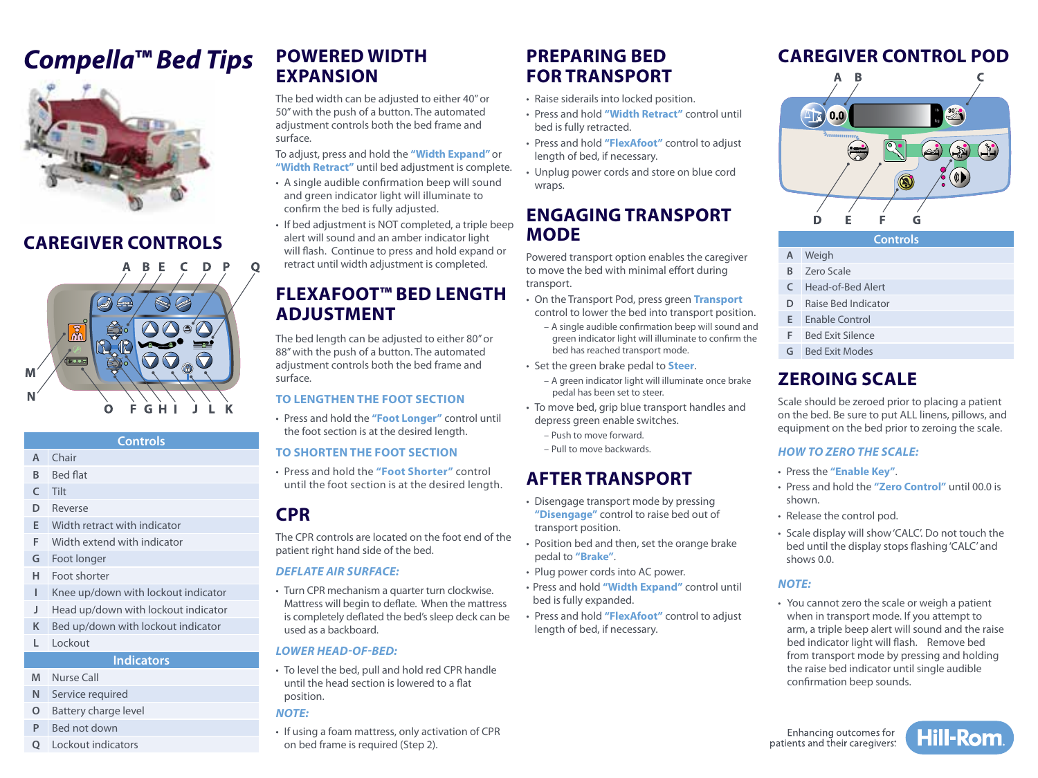# **Compella™ Bed Tips** POWERED WIDTH PREPARING BED CAREGIVER CONTROL POD



## **CAREGIVER CONTROLS**



|   |                 | <b>Controls</b> |  |
|---|-----------------|-----------------|--|
| A | Chair           |                 |  |
| B | <b>Bed flat</b> |                 |  |
| C | Tilt            |                 |  |

- **D** Reverse
- **E** Width retract with indicator
- **F** Width extend with indicator
- **G** Foot longer
- **H** Foot shorter
- **I** Knee up/down with lockout indicator
- **J** Head up/down with lockout indicator
- **K** Bed up/down with lockout indicator
- **L** Lockout

#### **Indicators**

- **M** Nurse Call
- **N** Service required
- **O** Battery charge level
- **P** Bed not down
- **Q** Lockout indicators

### **POWERED WIDTH EXPANSION**

The bed width can be adjusted to either 40" or 50" with the push of a button. The automated adjustment controls both the bed frame and surface.

To adjust, press and hold the **"Width Expand"** or **"Width Retract"** until bed adjustment is complete.

- A single audible confirmation beep will sound and green indicator light will illuminate to confirm the bed is fully adjusted.
- If bed adjustment is NOT completed, a triple beep alert will sound and an amber indicator light will flash. Continue to press and hold expand or retract until width adjustment is completed.

### **FLEXAFOOT™ BED LENGTH ADJUSTMENT**

The bed length can be adjusted to either 80" or 88" with the push of a button. The automated adjustment controls both the bed frame and surface.

#### **TO LENGTHEN THE FOOT SECTION**

• Press and hold the **"Foot Longer"** control until the foot section is at the desired length.

#### **TO SHORTEN THE FOOT SECTION**

• Press and hold the **"Foot Shorter"** control until the foot section is at the desired length.

### **CPR**

The CPR controls are located on the foot end of the patient right hand side of the bed.

#### *DEFLATE AIR SURFACE:*

• Turn CPR mechanism a quarter turn clockwise. Mattress will begin to deflate. When the mattress is completely deflated the bed's sleep deck can be used as a backboard.

#### *LOWER HEAD-OF-BED:*

• To level the bed, pull and hold red CPR handle until the head section is lowered to a flat position.

#### *NOTE:*

• If using a foam mattress, only activation of CPR on bed frame is required (Step 2).

### **PREPARING BED FOR TRANSPORT**

- Raise siderails into locked position.
- Press and hold **"Width Retract"** control until bed is fully retracted.
- Press and hold **"FlexAfoot"** control to adjust length of bed, if necessary.
- Unplug power cords and store on blue cord wraps.

### **ENGAGING TRANSPORT MODE**

Powered transport option enables the caregiver to move the bed with minimal effort during transport.

- On the Transport Pod, press green **Transport** control to lower the bed into transport position.
	- A single audible confirmation beep will sound and green indicator light will illuminate to confirm the bed has reached transport mode.
- Set the green brake pedal to **Steer**.
	- A green indicator light will illuminate once brake pedal has been set to steer.
- To move bed, grip blue transport handles and depress green enable switches.
	- Push to move forward.
	- Pull to move backwards.

### **AFTER TRANSPORT**

- Disengage transport mode by pressing **"Disengage"** control to raise bed out of transport position.
- Position bed and then, set the orange brake pedal to **"Brake"**.
- Plug power cords into AC power.
- Press and hold **"Width Expand"** control until bed is fully expanded.
- Press and hold **"FlexAfoot"** control to adjust length of bed, if necessary.



**Controls**

- **A** Weigh **B** Zero Scale
- 
- **C** Head-of-Bed Alert
- **D** Raise Bed Indicator
- **E** Enable Control
- **F** Bed Exit Silence
- **G** Bed Exit Modes

### **ZEROING SCALE**

Scale should be zeroed prior to placing a patient on the bed. Be sure to put ALL linens, pillows, and equipment on the bed prior to zeroing the scale.

#### *HOW TO ZERO THE SCALE:*

- Press the **"Enable Key"**.
- Press and hold the **"Zero Control"** until 00.0 is shown.
- Release the control pod.
- Scale display will show 'CALC'. Do not touch the bed until the display stops flashing 'CALC' and shows 0.0.

#### *NOTE:*

• You cannot zero the scale or weigh a patient when in transport mode. If you attempt to arm, a triple beep alert will sound and the raise bed indicator light will flash. Remove bed from transport mode by pressing and holding the raise bed indicator until single audible confirmation beep sounds.